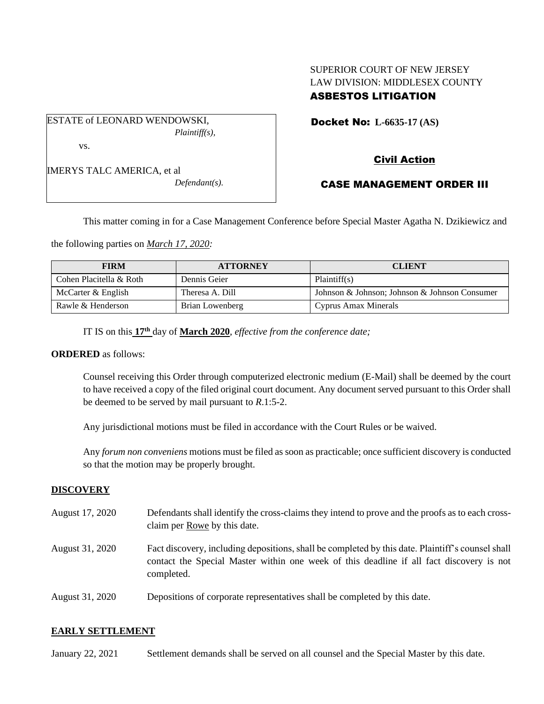## SUPERIOR COURT OF NEW JERSEY LAW DIVISION: MIDDLESEX COUNTY ASBESTOS LITIGATION

ESTATE of LEONARD WENDOWSKI, *Plaintiff(s),* vs.

IMERYS TALC AMERICA, et al

*Defendant(s).*

Docket No: **L-6635-17 (AS)** 

# Civil Action

# CASE MANAGEMENT ORDER III

This matter coming in for a Case Management Conference before Special Master Agatha N. Dzikiewicz and

the following parties on *March 17, 2020:*

| <b>FIRM</b>             | <b>ATTORNEY</b> | <b>CLIENT</b>                                 |
|-------------------------|-----------------|-----------------------------------------------|
| Cohen Placitella & Roth | Dennis Geier    | Plaintiff(s)                                  |
| McCarter & English      | Theresa A. Dill | Johnson & Johnson; Johnson & Johnson Consumer |
| Rawle & Henderson       | Brian Lowenberg | Cyprus Amax Minerals                          |

IT IS on this  $17<sup>th</sup>$  day of **March 2020**, *effective from the conference date*;

#### **ORDERED** as follows:

Counsel receiving this Order through computerized electronic medium (E-Mail) shall be deemed by the court to have received a copy of the filed original court document. Any document served pursuant to this Order shall be deemed to be served by mail pursuant to *R*.1:5-2.

Any jurisdictional motions must be filed in accordance with the Court Rules or be waived.

Any *forum non conveniens* motions must be filed as soon as practicable; once sufficient discovery is conducted so that the motion may be properly brought.

### **DISCOVERY**

August 17, 2020 Defendants shall identify the cross-claims they intend to prove and the proofs as to each crossclaim per Rowe by this date. August 31, 2020 Fact discovery, including depositions, shall be completed by this date. Plaintiff's counsel shall contact the Special Master within one week of this deadline if all fact discovery is not completed. August 31, 2020 Depositions of corporate representatives shall be completed by this date.

## **EARLY SETTLEMENT**

January 22, 2021 Settlement demands shall be served on all counsel and the Special Master by this date.